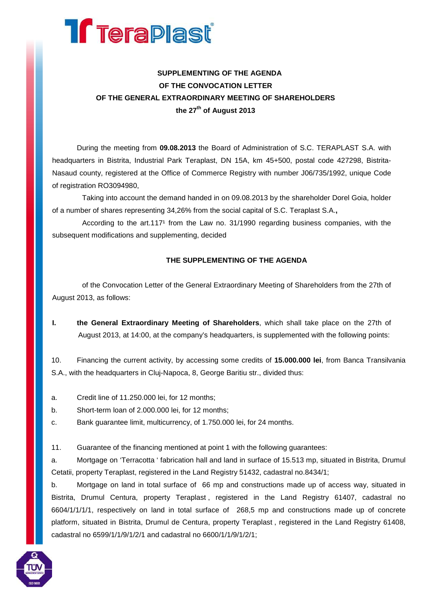

## **SUPPLEMENTING OF THE AGENDA OF THE CONVOCATION LETTER OF THE GENERAL EXTRAORDINARY MEETING OF SHAREHOLDERS the 27th of August 2013**

During the meeting from **09.08.2013** the Board of Administration of S.C. TERAPLAST S.A. with headquarters in Bistrita, Industrial Park Teraplast, DN 15A, km 45+500, postal code 427298, Bistrita-Nasaud county, registered at the Office of Commerce Registry with number J06/735/1992, unique Code of registration RO3094980,

Taking into account the demand handed in on 09.08.2013 by the shareholder Dorel Goia, holder of a number of shares representing 34,26% from the social capital of S.C. Teraplast S.A.**,**

According to the art.117<sup>1</sup> from the Law no. 31/1990 regarding business companies, with the subsequent modifications and supplementing, decided

## **THE SUPPLEMENTING OF THE AGENDA**

of the Convocation Letter of the General Extraordinary Meeting of Shareholders from the 27th of August 2013, as follows:

**I. the General Extraordinary Meeting of Shareholders**, which shall take place on the 27th of August 2013, at 14:00, at the company's headquarters, is supplemented with the following points:

10. Financing the current activity, by accessing some credits of **15.000.000 lei**, from Banca Transilvania S.A., with the headquarters in Cluj-Napoca, 8, George Baritiu str., divided thus:

- a. Credit line of 11.250.000 lei, for 12 months;
- b. Short-term loan of 2.000.000 lei, for 12 months;
- c. Bank guarantee limit, multicurrency, of 1.750.000 lei, for 24 months.

11. Guarantee of the financing mentioned at point 1 with the following guarantees:

a. Mortgage on 'Terracotta ' fabrication hall and land in surface of 15.513 mp, situated in Bistrita, Drumul Cetatii, property Teraplast, registered in the Land Registry 51432, cadastral no.8434/1;

b. Mortgage on land in total surface of 66 mp and constructions made up of access way, situated in Bistrita, Drumul Centura, property Teraplast , registered in the Land Registry 61407, cadastral no 6604/1/1/1/1, respectively on land in total surface of 268,5 mp and constructions made up of concrete platform, situated in Bistrita, Drumul de Centura, property Teraplast , registered in the Land Registry 61408, cadastral no 6599/1/1/9/1/2/1 and cadastral no 6600/1/1/9/1/2/1;

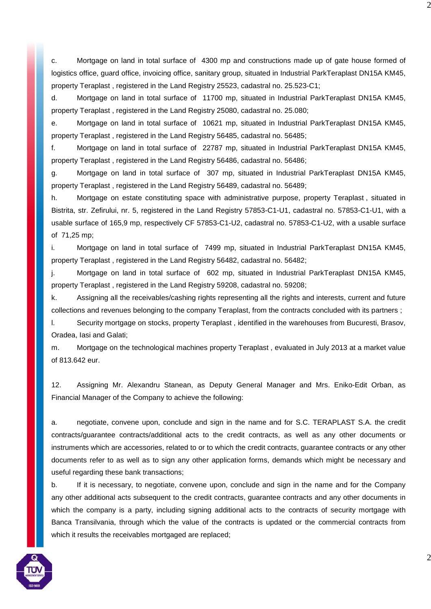c. Mortgage on land in total surface of 4300 mp and constructions made up of gate house formed of logistics office, guard office, invoicing office, sanitary group, situated in Industrial ParkTeraplast DN15A KM45, property Teraplast , registered in the Land Registry 25523, cadastral no. 25.523-C1;

d. Mortgage on land in total surface of 11700 mp, situated in Industrial ParkTeraplast DN15A KM45, property Teraplast , registered in the Land Registry 25080, cadastral no. 25.080;

e. Mortgage on land in total surface of 10621 mp, situated in Industrial ParkTeraplast DN15A KM45, property Teraplast , registered in the Land Registry 56485, cadastral no. 56485;

f. Mortgage on land in total surface of 22787 mp, situated in Industrial ParkTeraplast DN15A KM45, property Teraplast , registered in the Land Registry 56486, cadastral no. 56486;

g. Mortgage on land in total surface of 307 mp, situated in Industrial ParkTeraplast DN15A KM45, property Teraplast , registered in the Land Registry 56489, cadastral no. 56489;

h. Mortgage on estate constituting space with administrative purpose, property Teraplast , situated in Bistrita, str. Zefirului, nr. 5, registered in the Land Registry 57853-C1-U1, cadastral no. 57853-C1-U1, with a usable surface of 165,9 mp, respectively CF 57853-C1-U2, cadastral no. 57853-C1-U2, with a usable surface of 71,25 mp;

i. Mortgage on land in total surface of 7499 mp, situated in Industrial ParkTeraplast DN15A KM45, property Teraplast , registered in the Land Registry 56482, cadastral no. 56482;

j. Mortgage on land in total surface of 602 mp, situated in Industrial ParkTeraplast DN15A KM45, property Teraplast , registered in the Land Registry 59208, cadastral no. 59208;

k. Assigning all the receivables/cashing rights representing all the rights and interests, current and future collections and revenues belonging to the company Teraplast, from the contracts concluded with its partners ;

l. Security mortgage on stocks, property Teraplast , identified in the warehouses from Bucuresti, Brasov, Oradea, Iasi and Galati;

m. Mortgage on the technological machines property Teraplast , evaluated in July 2013 at a market value of 813.642 eur.

12. Assigning Mr. Alexandru Stanean, as Deputy General Manager and Mrs. Eniko-Edit Orban, as Financial Manager of the Company to achieve the following:

a. negotiate, convene upon, conclude and sign in the name and for S.C. TERAPLAST S.A. the credit contracts/guarantee contracts/additional acts to the credit contracts, as well as any other documents or instruments which are accessories, related to or to which the credit contracts, guarantee contracts or any other documents refer to as well as to sign any other application forms, demands which might be necessary and useful regarding these bank transactions;

b. If it is necessary, to negotiate, convene upon, conclude and sign in the name and for the Company any other additional acts subsequent to the credit contracts, guarantee contracts and any other documents in which the company is a party, including signing additional acts to the contracts of security mortgage with Banca Transilvania, through which the value of the contracts is updated or the commercial contracts from which it results the receivables mortgaged are replaced;



2

2